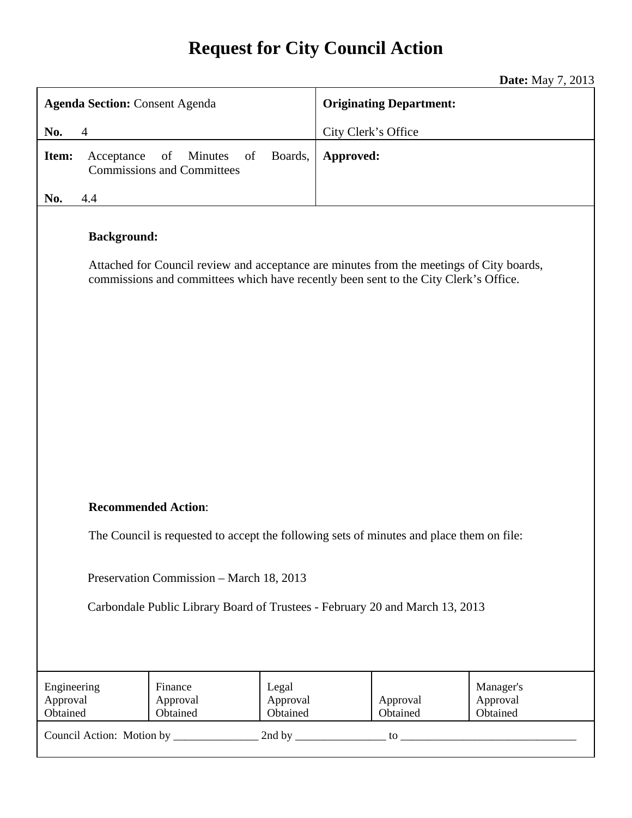# **Request for City Council Action**

**Date:** May 7, 2013

|                                                                                                                                                                                                        | <b>Date:</b> May $\ell$ , 2015                            |
|--------------------------------------------------------------------------------------------------------------------------------------------------------------------------------------------------------|-----------------------------------------------------------|
| <b>Agenda Section: Consent Agenda</b>                                                                                                                                                                  | <b>Originating Department:</b>                            |
| No.<br>$\overline{4}$                                                                                                                                                                                  | City Clerk's Office                                       |
| of<br>Minutes<br>of<br>Boards,<br>Item:<br>Acceptance<br><b>Commissions and Committees</b>                                                                                                             | Approved:                                                 |
| No.<br>4.4                                                                                                                                                                                             |                                                           |
| <b>Background:</b><br>Attached for Council review and acceptance are minutes from the meetings of City boards,<br>commissions and committees which have recently been sent to the City Clerk's Office. |                                                           |
| <b>Recommended Action:</b>                                                                                                                                                                             |                                                           |
| The Council is requested to accept the following sets of minutes and place them on file:                                                                                                               |                                                           |
| Preservation Commission - March 18, 2013<br>Carbondale Public Library Board of Trustees - February 20 and March 13, 2013                                                                               |                                                           |
| Engineering<br>Finance<br>Legal<br>Approval<br>Approval<br>Approval<br>Obtained<br>Obtained<br>Obtained                                                                                                | Manager's<br>Approval<br>Approval<br>Obtained<br>Obtained |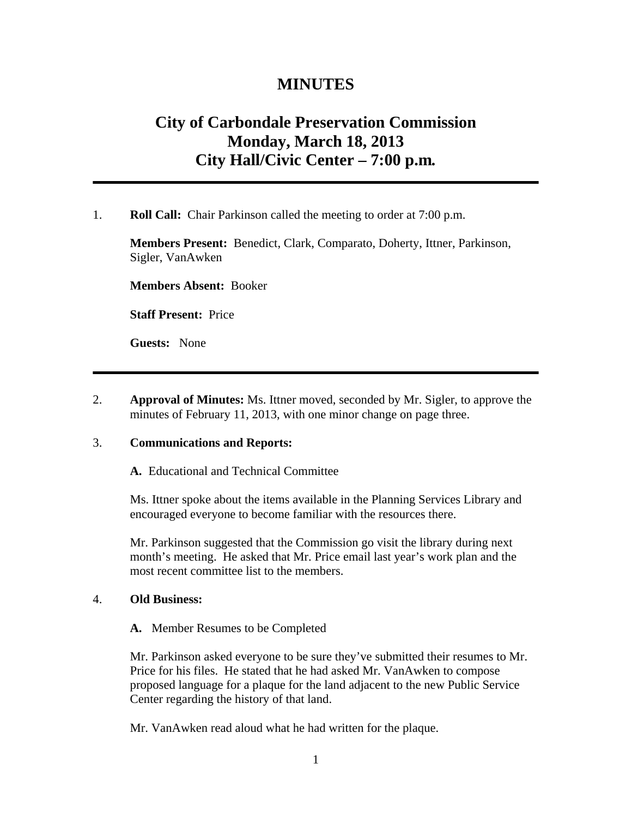# **MINUTES**

# **City of Carbondale Preservation Commission Monday, March 18, 2013 City Hall/Civic Center – 7:00 p.m***.*

#### 1. **Roll Call:** Chair Parkinson called the meeting to order at 7:00 p.m.

**Members Present:** Benedict, Clark, Comparato, Doherty, Ittner, Parkinson, Sigler, VanAwken

**Members Absent:** Booker

**Staff Present:** Price

**Guests:** None

2. **Approval of Minutes:** Ms. Ittner moved, seconded by Mr. Sigler, to approve the minutes of February 11, 2013, with one minor change on page three.

#### 3. **Communications and Reports:**

**A.** Educational and Technical Committee

Ms. Ittner spoke about the items available in the Planning Services Library and encouraged everyone to become familiar with the resources there.

Mr. Parkinson suggested that the Commission go visit the library during next month's meeting. He asked that Mr. Price email last year's work plan and the most recent committee list to the members.

#### 4. **Old Business:**

**A.** Member Resumes to be Completed

Mr. Parkinson asked everyone to be sure they've submitted their resumes to Mr. Price for his files. He stated that he had asked Mr. VanAwken to compose proposed language for a plaque for the land adjacent to the new Public Service Center regarding the history of that land.

Mr. VanAwken read aloud what he had written for the plaque.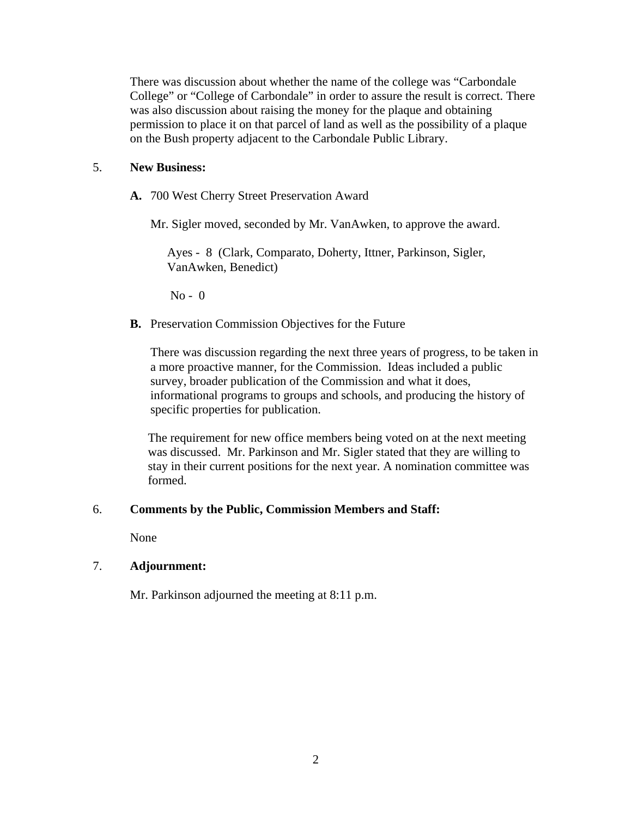There was discussion about whether the name of the college was "Carbondale College" or "College of Carbondale" in order to assure the result is correct. There was also discussion about raising the money for the plaque and obtaining permission to place it on that parcel of land as well as the possibility of a plaque on the Bush property adjacent to the Carbondale Public Library.

### 5. **New Business:**

**A.** 700 West Cherry Street Preservation Award

Mr. Sigler moved, seconded by Mr. VanAwken, to approve the award.

Ayes - 8 (Clark, Comparato, Doherty, Ittner, Parkinson, Sigler, VanAwken, Benedict)

 $No - 0$ 

**B.** Preservation Commission Objectives for the Future

There was discussion regarding the next three years of progress, to be taken in a more proactive manner, for the Commission. Ideas included a public survey, broader publication of the Commission and what it does, informational programs to groups and schools, and producing the history of specific properties for publication.

The requirement for new office members being voted on at the next meeting was discussed. Mr. Parkinson and Mr. Sigler stated that they are willing to stay in their current positions for the next year. A nomination committee was formed.

#### 6. **Comments by the Public, Commission Members and Staff:**

None

# 7. **Adjournment:**

Mr. Parkinson adjourned the meeting at 8:11 p.m.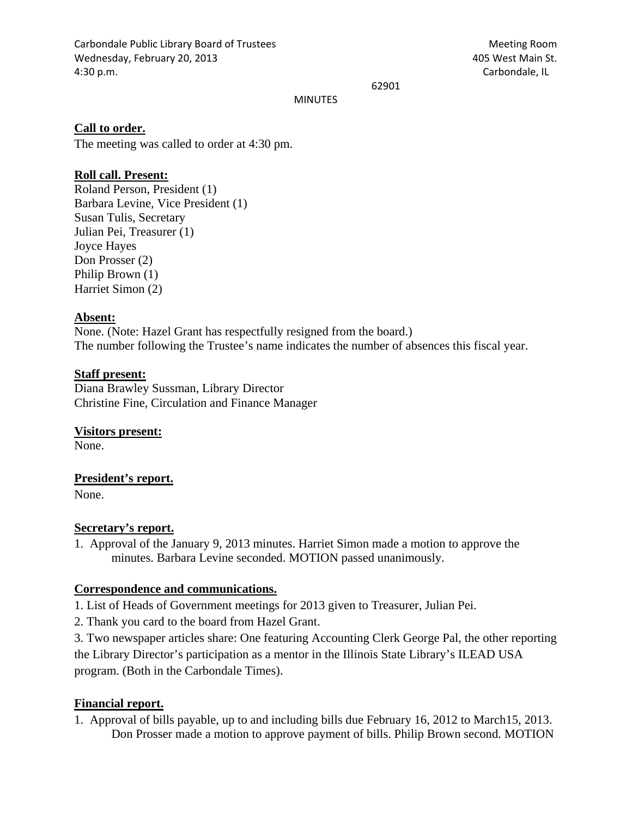Carbondale Public Library Board of Trustees Meeting Room Wednesday, February 20, 2013 405 West Main St. 4:30 p.m. Carbondale, IL

62901

MINUTES

#### **Call to order.**

The meeting was called to order at 4:30 pm.

# **Roll call. Present:**

Roland Person, President (1) Barbara Levine, Vice President (1) Susan Tulis, Secretary Julian Pei, Treasurer (1) Joyce Hayes Don Prosser (2) Philip Brown (1) Harriet Simon (2)

#### **Absent:**

None. (Note: Hazel Grant has respectfully resigned from the board.) The number following the Trustee's name indicates the number of absences this fiscal year.

## **Staff present:**

Diana Brawley Sussman, Library Director Christine Fine, Circulation and Finance Manager

**Visitors present:**  None.

#### **President's report.**

None.

#### **Secretary's report.**

1. Approval of the January 9, 2013 minutes. Harriet Simon made a motion to approve the minutes. Barbara Levine seconded. MOTION passed unanimously.

#### **Correspondence and communications.**

1. List of Heads of Government meetings for 2013 given to Treasurer, Julian Pei.

2. Thank you card to the board from Hazel Grant.

3. Two newspaper articles share: One featuring Accounting Clerk George Pal, the other reporting the Library Director's participation as a mentor in the Illinois State Library's ILEAD USA program. (Both in the Carbondale Times).

#### **Financial report.**

1. Approval of bills payable, up to and including bills due February 16, 2012 to March15, 2013. Don Prosser made a motion to approve payment of bills. Philip Brown second. MOTION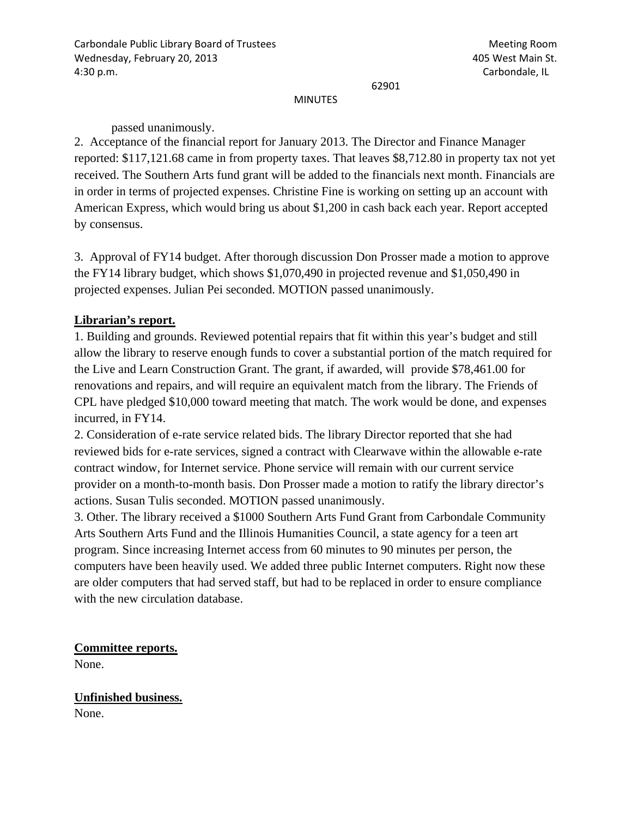62901

#### MINUTES

passed unanimously.

2. Acceptance of the financial report for January 2013. The Director and Finance Manager reported: \$117,121.68 came in from property taxes. That leaves \$8,712.80 in property tax not yet received. The Southern Arts fund grant will be added to the financials next month. Financials are in order in terms of projected expenses. Christine Fine is working on setting up an account with American Express, which would bring us about \$1,200 in cash back each year. Report accepted by consensus.

3. Approval of FY14 budget. After thorough discussion Don Prosser made a motion to approve the FY14 library budget, which shows \$1,070,490 in projected revenue and \$1,050,490 in projected expenses. Julian Pei seconded. MOTION passed unanimously.

# **Librarian's report.**

1. Building and grounds. Reviewed potential repairs that fit within this year's budget and still allow the library to reserve enough funds to cover a substantial portion of the match required for the Live and Learn Construction Grant. The grant, if awarded, will provide \$78,461.00 for renovations and repairs, and will require an equivalent match from the library. The Friends of CPL have pledged \$10,000 toward meeting that match. The work would be done, and expenses incurred, in FY14.

2. Consideration of e-rate service related bids. The library Director reported that she had reviewed bids for e-rate services, signed a contract with Clearwave within the allowable e-rate contract window, for Internet service. Phone service will remain with our current service provider on a month-to-month basis. Don Prosser made a motion to ratify the library director's actions. Susan Tulis seconded. MOTION passed unanimously.

3. Other. The library received a \$1000 Southern Arts Fund Grant from Carbondale Community Arts Southern Arts Fund and the Illinois Humanities Council, a state agency for a teen art program. Since increasing Internet access from 60 minutes to 90 minutes per person, the computers have been heavily used. We added three public Internet computers. Right now these are older computers that had served staff, but had to be replaced in order to ensure compliance with the new circulation database.

**Committee reports.** 

None.

**Unfinished business.**  None.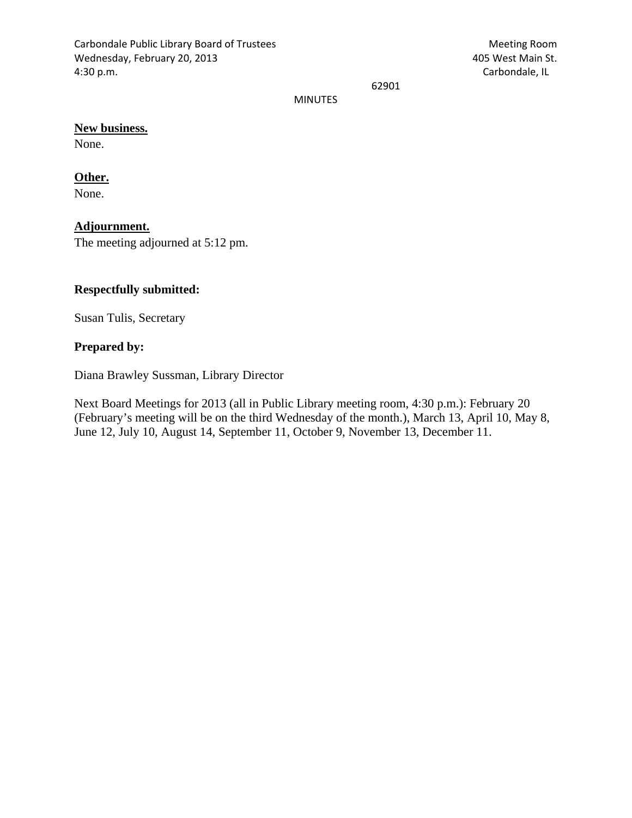Carbondale Public Library Board of Trustees Meeting Room Wednesday, February 20, 2013 405 West Main St. 4:30 p.m. Carbondale, IL

62901

MINUTES

# **New business.**

None.

# **Other.**

None.

# **Adjournment.**

The meeting adjourned at 5:12 pm.

# **Respectfully submitted:**

Susan Tulis, Secretary

#### **Prepared by:**

Diana Brawley Sussman, Library Director

Next Board Meetings for 2013 (all in Public Library meeting room, 4:30 p.m.): February 20 (February's meeting will be on the third Wednesday of the month.), March 13, April 10, May 8, June 12, July 10, August 14, September 11, October 9, November 13, December 11.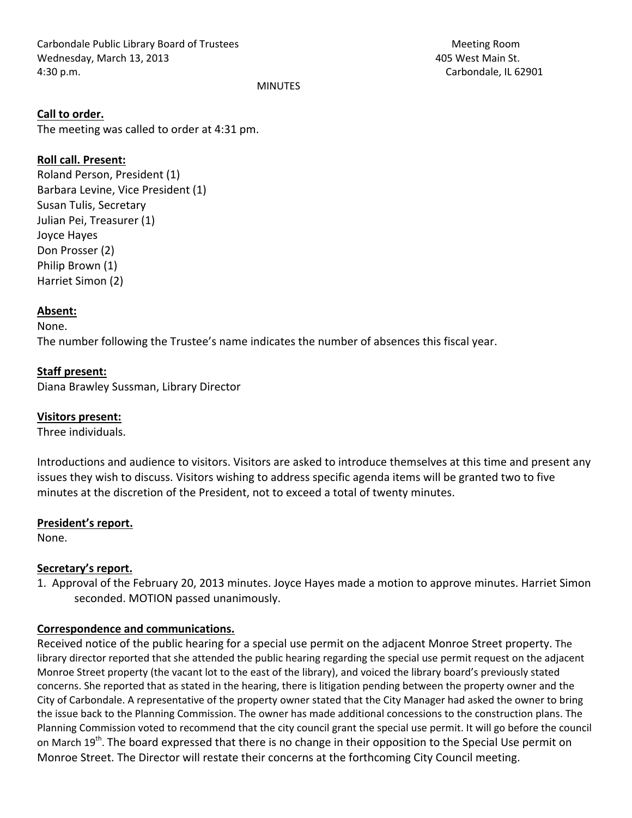Carbondale Public Library Board of Trustees Meeting Room Wednesday, March 13, 2013 405 West Main St. 4:30 p.m. **Carbondale, IL 62901 Carbondale**, IL 62901

MINUTES

#### **Call to order.**

The meeting was called to order at 4:31 pm.

#### **Roll call. Present:**

Roland Person, President (1) Barbara Levine, Vice President (1) Susan Tulis, Secretary Julian Pei, Treasurer (1) Joyce Hayes Don Prosser (2) Philip Brown (1) Harriet Simon (2)

# **Absent:**

None.

The number following the Trustee's name indicates the number of absences this fiscal year.

#### **Staff present:**

Diana Brawley Sussman, Library Director

#### **Visitors present:**

Three individuals.

Introductions and audience to visitors. Visitors are asked to introduce themselves at this time and present any issues they wish to discuss. Visitors wishing to address specific agenda items will be granted two to five minutes at the discretion of the President, not to exceed a total of twenty minutes.

#### **President's report.**

None.

#### **Secretary's report.**

1. Approval of the February 20, 2013 minutes. Joyce Hayes made a motion to approve minutes. Harriet Simon seconded. MOTION passed unanimously.

#### **Correspondence and communications.**

Received notice of the public hearing for a special use permit on the adjacent Monroe Street property. The library director reported that she attended the public hearing regarding the special use permit request on the adjacent Monroe Street property (the vacant lot to the east of the library), and voiced the library board's previously stated concerns. She reported that as stated in the hearing, there is litigation pending between the property owner and the City of Carbondale. A representative of the property owner stated that the City Manager had asked the owner to bring the issue back to the Planning Commission. The owner has made additional concessions to the construction plans. The Planning Commission voted to recommend that the city council grant the special use permit. It will go before the council on March  $19^{th}$ . The board expressed that there is no change in their opposition to the Special Use permit on Monroe Street. The Director will restate their concerns at the forthcoming City Council meeting.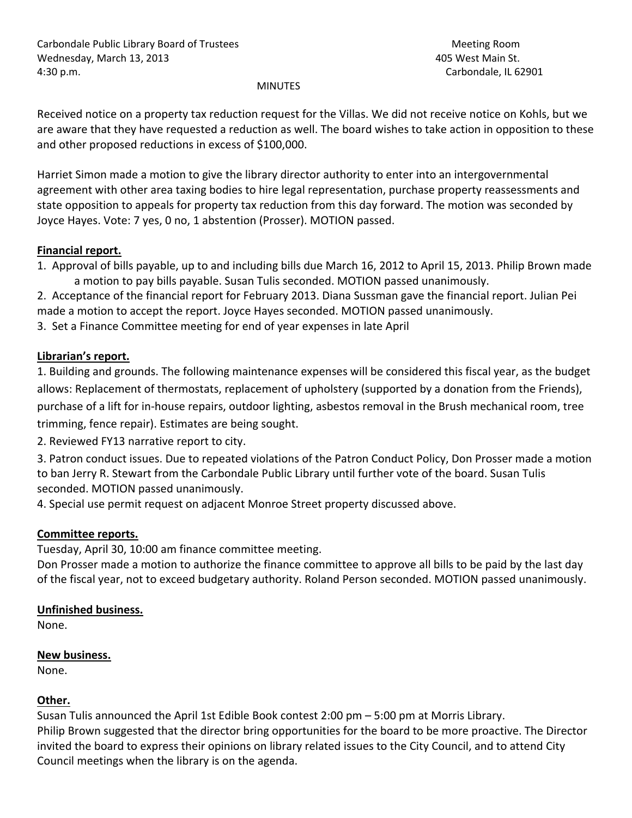#### MINUTES

Received notice on a property tax reduction request for the Villas. We did not receive notice on Kohls, but we are aware that they have requested a reduction as well. The board wishes to take action in opposition to these and other proposed reductions in excess of \$100,000.

Harriet Simon made a motion to give the library director authority to enter into an intergovernmental agreement with other area taxing bodies to hire legal representation, purchase property reassessments and state opposition to appeals for property tax reduction from this day forward. The motion was seconded by Joyce Hayes. Vote: 7 yes, 0 no, 1 abstention (Prosser). MOTION passed.

# **Financial report.**

1. Approval of bills payable, up to and including bills due March 16, 2012 to April 15, 2013. Philip Brown made a motion to pay bills payable. Susan Tulis seconded. MOTION passed unanimously.

2. Acceptance of the financial report for February 2013. Diana Sussman gave the financial report. Julian Pei made a motion to accept the report. Joyce Hayes seconded. MOTION passed unanimously. 3. Set a Finance Committee meeting for end of year expenses in late April

# **Librarian's report.**

1. Building and grounds. The following maintenance expenses will be considered this fiscal year, as the budget allows: Replacement of thermostats, replacement of upholstery (supported by a donation from the Friends), purchase of a lift for in‐house repairs, outdoor lighting, asbestos removal in the Brush mechanical room, tree trimming, fence repair). Estimates are being sought.

2. Reviewed FY13 narrative report to city.

3. Patron conduct issues. Due to repeated violations of the Patron Conduct Policy, Don Prosser made a motion to ban Jerry R. Stewart from the Carbondale Public Library until further vote of the board. Susan Tulis seconded. MOTION passed unanimously.

4. Special use permit request on adjacent Monroe Street property discussed above.

# **Committee reports.**

Tuesday, April 30, 10:00 am finance committee meeting.

Don Prosser made a motion to authorize the finance committee to approve all bills to be paid by the last day of the fiscal year, not to exceed budgetary authority. Roland Person seconded. MOTION passed unanimously.

# **Unfinished business.**

None.

# **New business.**

None.

# **Other.**

Susan Tulis announced the April 1st Edible Book contest 2:00 pm – 5:00 pm at Morris Library. Philip Brown suggested that the director bring opportunities for the board to be more proactive. The Director invited the board to express their opinions on library related issues to the City Council, and to attend City Council meetings when the library is on the agenda.